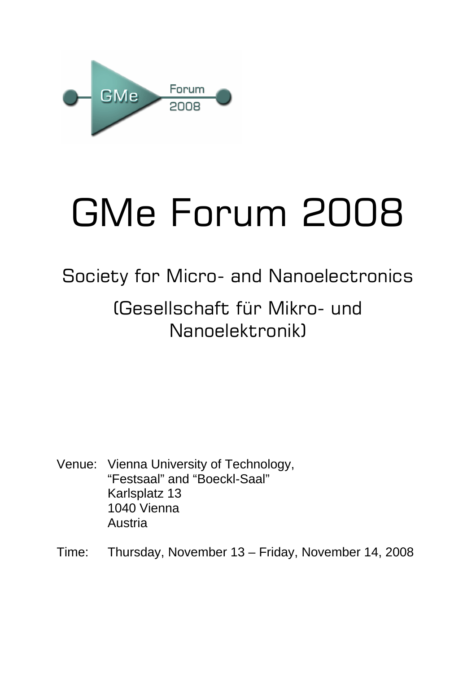

# GMe Forum 2008

# Society for Micro- and Nanoelectronics

# (Gesellschaft für Mikro- und Nanoelektronik)

- Venue: Vienna University of Technology, "Festsaal" and "Boeckl-Saal" Karlsplatz 13 1040 Vienna Austria
- Time: Thursday, November 13 Friday, November 14, 2008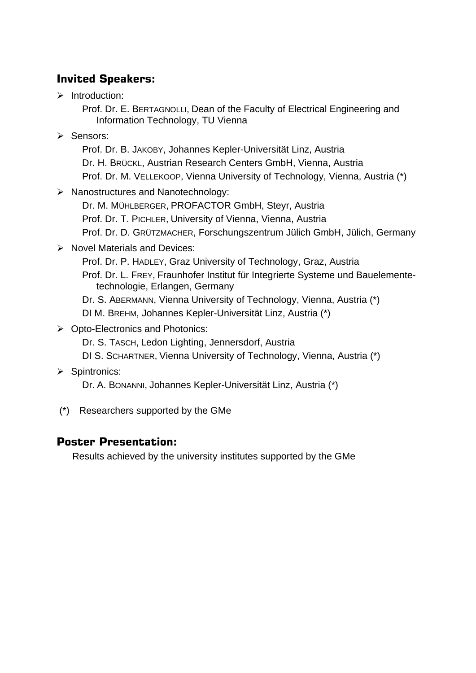#### **Invited Speakers:**

 $\triangleright$  Introduction:

Prof. Dr. E. BERTAGNOLLI, Dean of the Faculty of Electrical Engineering and Information Technology, TU Vienna

¾ Sensors:

Prof. Dr. B. JAKOBY, Johannes Kepler-Universität Linz, Austria Dr. H. BRÜCKL, Austrian Research Centers GmbH, Vienna, Austria Prof. Dr. M. VELLEKOOP, Vienna University of Technology, Vienna, Austria (\*)

¾ Nanostructures and Nanotechnology:

Dr. M. MÜHLBERGER, PROFACTOR GmbH, Steyr, Austria Prof. Dr. T. PICHLER, University of Vienna, Vienna, Austria Prof. Dr. D. GRÜTZMACHER, Forschungszentrum Jülich GmbH, Jülich, Germany

¾ Novel Materials and Devices:

Prof. Dr. P. HADLEY, Graz University of Technology, Graz, Austria Prof. Dr. L. FREY, Fraunhofer Institut für Integrierte Systeme und Bauelementetechnologie, Erlangen, Germany

Dr. S. ABERMANN, Vienna University of Technology, Vienna, Austria (\*)

- DI M. BREHM, Johannes Kepler-Universität Linz, Austria (\*)
- ¾ Opto-Electronics and Photonics:
	- Dr. S. TASCH, Ledon Lighting, Jennersdorf, Austria
	- DI S. SCHARTNER, Vienna University of Technology, Vienna, Austria (\*)
- ¾ Spintronics:

Dr. A. BONANNI, Johannes Kepler-Universität Linz, Austria (\*)

(\*) Researchers supported by the GMe

#### **Poster Presentation:**

Results achieved by the university institutes supported by the GMe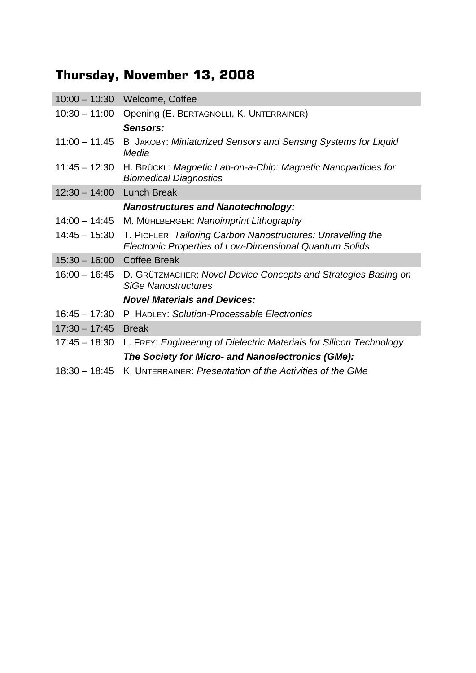## **Thursday, November 13, 2008**

|                 | 10:00 - 10:30 Welcome, Coffee                                                                                           |
|-----------------|-------------------------------------------------------------------------------------------------------------------------|
| $10:30 - 11:00$ | Opening (E. BERTAGNOLLI, K. UNTERRAINER)                                                                                |
|                 | Sensors:                                                                                                                |
| $11:00 - 11.45$ | B. JAKOBY: Miniaturized Sensors and Sensing Systems for Liquid<br>Media                                                 |
| $11:45 - 12:30$ | H. BRÜCKL: Magnetic Lab-on-a-Chip: Magnetic Nanoparticles for<br><b>Biomedical Diagnostics</b>                          |
| $12:30 - 14:00$ | <b>Lunch Break</b>                                                                                                      |
|                 | <b>Nanostructures and Nanotechnology:</b>                                                                               |
| $14:00 - 14:45$ | M. MÜHLBERGER: Nanoimprint Lithography                                                                                  |
| $14:45 - 15:30$ | T. PICHLER: Tailoring Carbon Nanostructures: Unravelling the<br>Electronic Properties of Low-Dimensional Quantum Solids |
| $15:30 - 16:00$ | <b>Coffee Break</b>                                                                                                     |
| $16:00 - 16:45$ | D. GRÜTZMACHER: Novel Device Concepts and Strategies Basing on<br><b>SiGe Nanostructures</b>                            |
|                 | <b>Novel Materials and Devices:</b>                                                                                     |
| $16:45 - 17:30$ | P. HADLEY: Solution-Processable Electronics                                                                             |
| $17:30 - 17:45$ | <b>Break</b>                                                                                                            |
|                 | 17:45 – 18:30 L. FREY: Engineering of Dielectric Materials for Silicon Technology                                       |
|                 | The Society for Micro- and Nanoelectronics (GMe):                                                                       |
| $18:30 - 18:45$ | K. UNTERRAINER: Presentation of the Activities of the GMe                                                               |